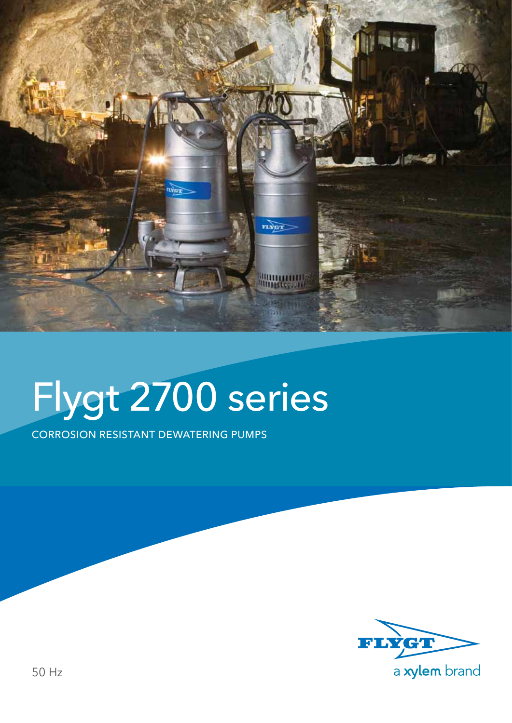

## Flygt 2700 series

Corrosion resistant dewatering pumps

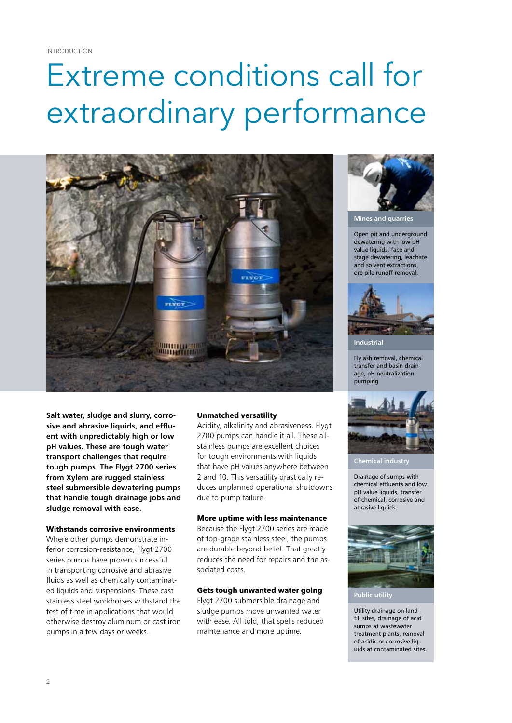### Extreme conditions call for extraordinary performance



**Salt water, sludge and slurry, corrosive and abrasive liquids, and effluent with unpredictably high or low pH values. These are tough water transport challenges that require tough pumps. The Flygt 2700 series from Xylem are rugged stainless steel submersible dewatering pumps that handle tough drainage jobs and sludge removal with ease.**

#### **Withstands corrosive environments**

Where other pumps demonstrate inferior corrosion-resistance, Flygt 2700 series pumps have proven successful in transporting corrosive and abrasive fluids as well as chemically contaminated liquids and suspensions. These cast stainless steel workhorses withstand the test of time in applications that would otherwise destroy aluminum or cast iron pumps in a few days or weeks.

#### **Unmatched versatility**

Acidity, alkalinity and abrasiveness. Flygt 2700 pumps can handle it all. These allstainless pumps are excellent choices for tough environments with liquids that have pH values anywhere between 2 and 10. This versatility drastically reduces unplanned operational shutdowns due to pump failure.

#### **More uptime with less maintenance**

Because the Flygt 2700 series are made of top-grade stainless steel, the pumps are durable beyond belief. That greatly reduces the need for repairs and the associated costs.

#### **Gets tough unwanted water going**

Flygt 2700 submersible drainage and sludge pumps move unwanted water with ease. All told, that spells reduced maintenance and more uptime.



**Mines and quarries**

Open pit and underground dewatering with low pH value liquids, face and stage dewatering, leachate and solvent extractions, ore pile runoff removal.



**Industrial**

Fly ash removal, chemical transfer and basin drainage, pH neutralization pumping



**Chemical industry**

Drainage of sumps with chemical effluents and low pH value liquids, transfer of chemical, corrosive and abrasive liquids.



Utility drainage on landfill sites, drainage of acid sumps at wastewater treatment plants, removal of acidic or corrosive liquids at contaminated sites.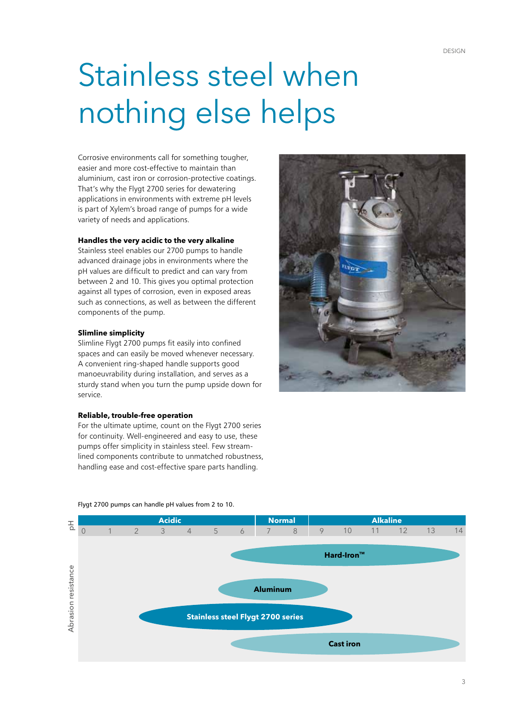### Stainless steel when nothing else helps

Corrosive environments call for something tougher, easier and more cost-effective to maintain than aluminium, cast iron or corrosion-protective coatings. That's why the Flygt 2700 series for dewatering applications in environments with extreme pH levels is part of Xylem's broad range of pumps for a wide variety of needs and applications.

#### **Handles the very acidic to the very alkaline**

Stainless steel enables our 2700 pumps to handle advanced drainage jobs in environments where the pH values are difficult to predict and can vary from between 2 and 10. This gives you optimal protection against all types of corrosion, even in exposed areas such as connections, as well as between the different components of the pump.

#### **Slimline simplicity**

Slimline Flygt 2700 pumps fit easily into confined spaces and can easily be moved whenever necessary. A convenient ring-shaped handle supports good manoeuvrability during installation, and serves as a sturdy stand when you turn the pump upside down for service.

#### **Reliable, trouble-free operation**

For the ultimate uptime, count on the Flygt 2700 series for continuity. Well-engineered and easy to use, these pumps offer simplicity in stainless steel. Few streamlined components contribute to unmatched robustness, handling ease and cost-effective spare parts handling.





#### Flygt 2700 pumps can handle pH values from 2 to 10.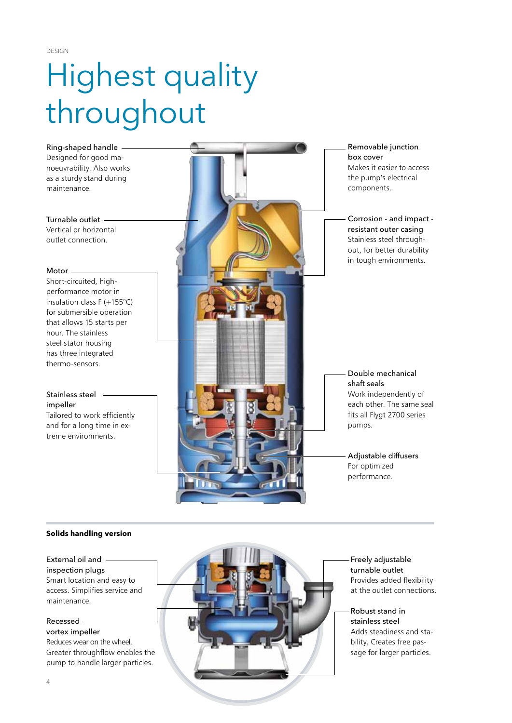Design

## Highest quality throughout



#### **Solids handling version**

#### External oil and

inspection plugs Smart location and easy to access. Simplifies service and maintenance.

#### Recessed

vortex impeller Reduces wear on the wheel. Greater throughflow enables the pump to handle larger particles.



Freely adjustable turnable outlet Provides added flexibility at the outlet connections.

#### Robust stand in stainless steel Adds steadiness and stability. Creates free passage for larger particles.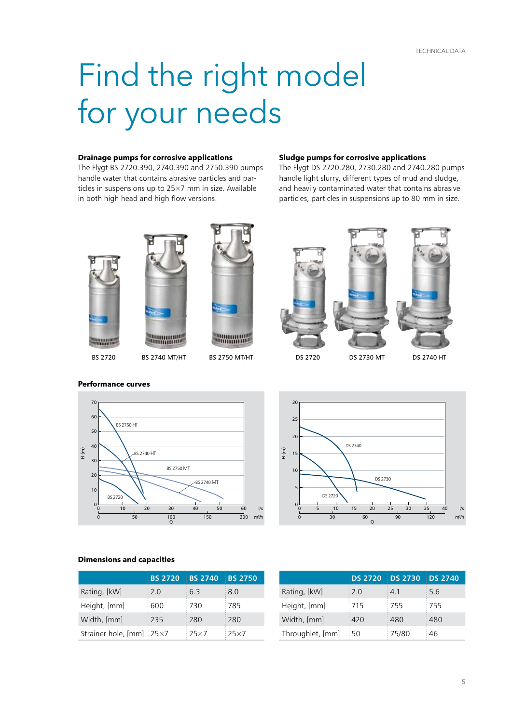### Find the right model for your needs

#### **Drainage pumps for corrosive applications**

The Flygt BS 2720.390, 2740.390 and 2750.390 pumps handle water that contains abrasive particles and particles in suspensions up to 25×7 mm in size. Available in both high head and high flow versions.

#### **Sludge pumps for corrosive applications**

The Flygt DS 2720.280, 2730.280 and 2740.280 pumps handle light slurry, different types of mud and sludge, and heavily contaminated water that contains abrasive particles, particles in suspensions up to 80 mm in size.







BS 2720 BS 2740 MT/HT BS 2750 MT/HT DS 2720 DS 2730 MT DS 2740 HT





**Performance curves**





|                          | <b>BS 2720</b> | <b>BS 2740</b> | <b>BS 2750</b> |
|--------------------------|----------------|----------------|----------------|
| Rating, [kW]             | $\div 2.0$     | 6.3            | 8.0            |
| Height, [mm]             | 600            | 1730           | :785           |
| Width, [mm]              | 235            | 280            | :280           |
| Strainer hole, [mm] 25×7 |                | $:25\times7$   | $:25\times7$   |

|                  |                   | DS 2720 DS 2730 DS 2740 |      |
|------------------|-------------------|-------------------------|------|
| Rating, [kW]     | $\frac{1}{2}$ 2.0 | 4.1                     | 5.6  |
| Height, [mm]     | :715              | :755                    | :755 |
| Width, [mm]      | 420               | 480                     | 480  |
| Throughlet, [mm] | ፡ 50              | 75/80                   | 46   |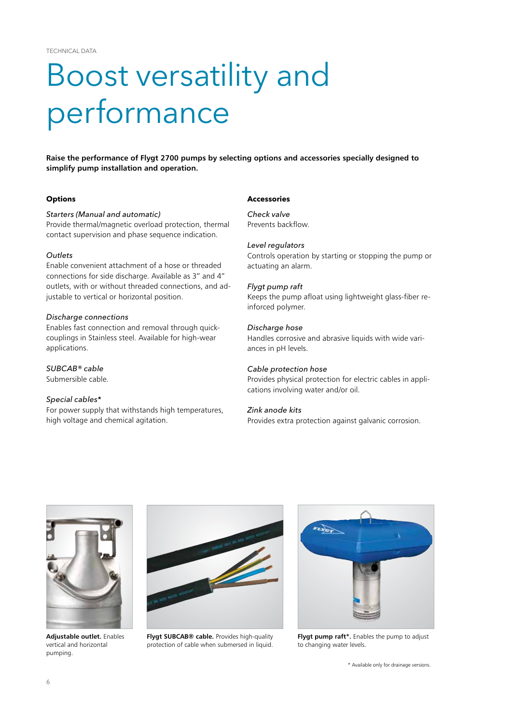### Boost versatility and performance

**Raise the performance of Flygt 2700 pumps by selecting options and accessories specially designed to simplify pump installation and operation.**

#### **Options**

#### *Starters (Manual and automatic)*

Provide thermal/magnetic overload protection, thermal contact supervision and phase sequence indication.

#### *Outlets*

Enable convenient attachment of a hose or threaded connections for side discharge. Available as 3" and 4" outlets, with or without threaded connections, and adjustable to vertical or horizontal position.

#### *Discharge connections*

Enables fast connection and removal through quickcouplings in Stainless steel. Available for high-wear applications.

#### *SUBCAB® cable*

Submersible cable.

#### *Special cables\**

For power supply that withstands high temperatures, high voltage and chemical agitation.

#### **Accessories**

*Check valve* Prevents backflow.

#### *Level regulators*

Controls operation by starting or stopping the pump or actuating an alarm.

#### *Flygt pump raft*

Keeps the pump afloat using lightweight glass-fiber reinforced polymer.

#### *Discharge hose*

Handles corrosive and abrasive liquids with wide variances in pH levels.

#### *Cable protection hose*

Provides physical protection for electric cables in applications involving water and/or oil.

#### *Zink anode kits*

Provides extra protection against galvanic corrosion.



**Adjustable outlet.** Enables vertical and horizontal pumping.



**Flygt SUBCAB® cable.** Provides high-quality protection of cable when submersed in liquid.



**Flygt pump raft\*.** Enables the pump to adjust to changing water levels.

\* Available only for drainage versions.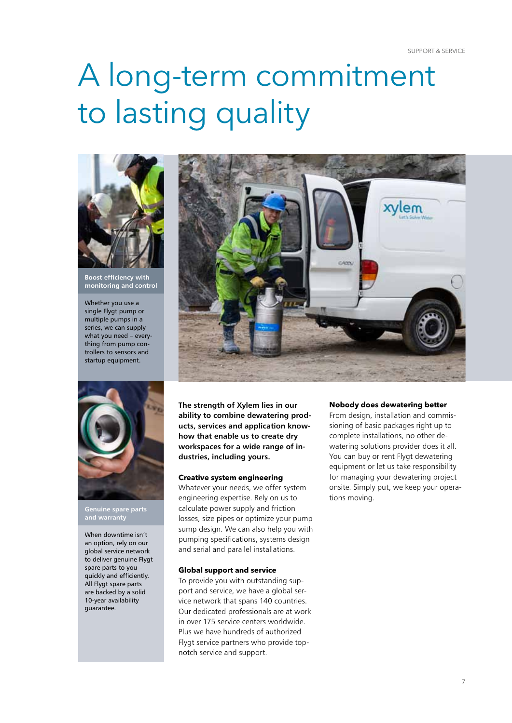### A long-term commitment to lasting quality



**Boost efficiency with monitoring and control**

Whether you use a single Flygt pump or multiple pumps in a series, we can supply what you need – everything from pump controllers to sensors and startup equipment.



**Genuine spare parts and warranty**

When downtime isn't an option, rely on our global service network to deliver genuine Flygt spare parts to you – quickly and efficiently. All Flygt spare parts are backed by a solid 10-year availability guarantee.



CADD

**ability to combine dewatering products, services and application knowhow that enable us to create dry workspaces for a wide range of industries, including yours.**

#### **Creative system engineering**

Whatever your needs, we offer system engineering expertise. Rely on us to calculate power supply and friction losses, size pipes or optimize your pump sump design. We can also help you with pumping specifications, systems design and serial and parallel installations.

#### **Global support and service**

To provide you with outstanding support and service, we have a global service network that spans 140 countries. Our dedicated professionals are at work in over 175 service centers worldwide. Plus we have hundreds of authorized Flygt service partners who provide topnotch service and support.

#### **Nobody does dewatering better**

xvlem

From design, installation and commissioning of basic packages right up to complete installations, no other dewatering solutions provider does it all. You can buy or rent Flygt dewatering equipment or let us take responsibility for managing your dewatering project onsite. Simply put, we keep your operations moving.